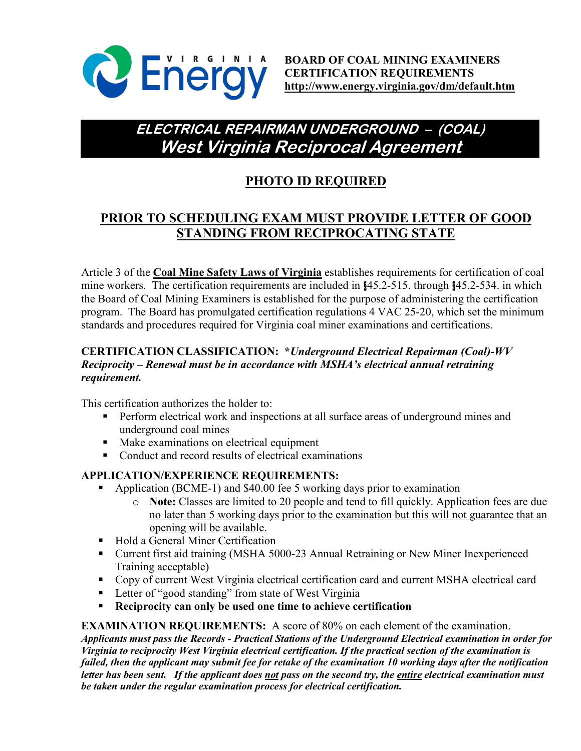

# **ELECTRICAL REPAIRMAN UNDERGROUND – (COAL) West Virginia Reciprocal Agreement**

# **PHOTO ID REQUIRED**

## **PRIOR TO SCHEDULING EXAM MUST PROVIDE LETTER OF GOOD STANDING FROM RECIPROCATING STATE**

Article 3 of the **Coal Mine Safety Laws of Virginia** establishes requirements for certification of coal mine workers. The certification requirements are included in §45.2-515. through §45.2-534. in which the Board of Coal Mining Examiners is established for the purpose of administering the certification program. The Board has promulgated certification regulations 4 VAC 25-20, which set the minimum standards and procedures required for Virginia coal miner examinations and certifications.

### **CERTIFICATION CLASSIFICATION: \****Underground Electrical Repairman (Coal)-WV Reciprocity – Renewal must be in accordance with MSHA's electrical annual retraining requirement.*

This certification authorizes the holder to:

- **Perform electrical work and inspections at all surface areas of underground mines and** underground coal mines
- Make examinations on electrical equipment
- Conduct and record results of electrical examinations

### **APPLICATION/EXPERIENCE REQUIREMENTS:**

- Application (BCME-1) and \$40.00 fee 5 working days prior to examination
	- o **Note:** Classes are limited to 20 people and tend to fill quickly. Application fees are due no later than 5 working days prior to the examination but this will not guarantee that an opening will be available.
- Hold a General Miner Certification
- Current first aid training (MSHA 5000-23 Annual Retraining or New Miner Inexperienced Training acceptable)
- Copy of current West Virginia electrical certification card and current MSHA electrical card
- **Letter of "good standing" from state of West Virginia**
- **Reciprocity can only be used one time to achieve certification**

**EXAMINATION REQUIREMENTS:** A score of 80% on each element of the examination. *Applicants must pass the Records - Practical Stations of the Underground Electrical examination in order for Virginia to reciprocity West Virginia electrical certification. If the practical section of the examination is failed, then the applicant may submit fee for retake of the examination 10 working days after the notification letter has been sent. If the applicant does not pass on the second try, the entire electrical examination must be taken under the regular examination process for electrical certification.*